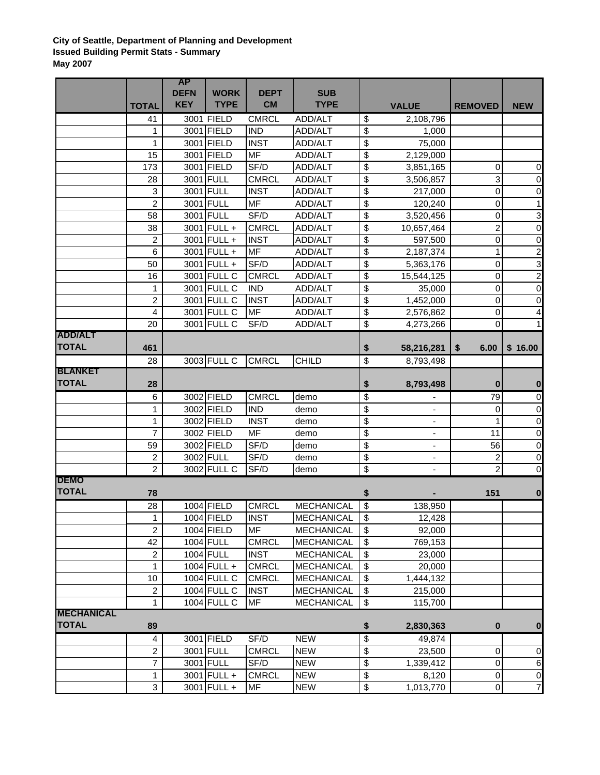## **City of Seattle, Department of Planning and Development Issued Building Permit Stats - Summary May 2007**

|                                |                                  | <b>AP</b>   |                          |              |                   |                           |                          |                                  |                         |
|--------------------------------|----------------------------------|-------------|--------------------------|--------------|-------------------|---------------------------|--------------------------|----------------------------------|-------------------------|
|                                |                                  | <b>DEFN</b> | <b>WORK</b>              | <b>DEPT</b>  | <b>SUB</b>        |                           |                          |                                  |                         |
|                                | <b>TOTAL</b>                     | <b>KEY</b>  | <b>TYPE</b>              | <b>CM</b>    | <b>TYPE</b>       |                           | <b>VALUE</b>             | <b>REMOVED</b>                   | <b>NEW</b>              |
|                                | 41                               |             | 3001 FIELD               | <b>CMRCL</b> | ADD/ALT           | \$                        | 2,108,796                |                                  |                         |
|                                | 1                                |             | 3001 FIELD               | <b>IND</b>   | ADD/ALT           | \$                        | 1,000                    |                                  |                         |
|                                | 1                                |             | 3001 FIELD               | <b>INST</b>  | ADD/ALT           | \$                        | 75,000                   |                                  |                         |
|                                | 15                               |             | 3001 FIELD               | <b>MF</b>    | ADD/ALT           | \$                        | 2,129,000                |                                  |                         |
|                                | 173                              |             | 3001 FIELD               | SF/D         | ADD/ALT           | \$                        | 3,851,165                | 0                                | $\pmb{0}$               |
|                                | 28                               |             | 3001 FULL                | <b>CMRCL</b> | ADD/ALT           | \$                        | 3,506,857                | 3                                | $\pmb{0}$               |
|                                | 3                                |             | 3001 FULL                | <b>INST</b>  | ADD/ALT           | \$                        | 217,000                  | 0                                | $\pmb{0}$               |
|                                | $\overline{2}$                   |             | 3001 FULL                | <b>MF</b>    | ADD/ALT           | \$                        | 120,240                  | 0                                | $\mathbf 1$             |
|                                | 58                               |             | 3001 FULL                | SF/D         | ADD/ALT           | $\overline{\mathcal{S}}$  | 3,520,456                | 0                                | ω                       |
|                                | 38                               |             | 3001 FULL +              | <b>CMRCL</b> | ADD/ALT           | \$                        | 10,657,464               | $\overline{c}$                   | $\mathbf 0$             |
|                                | 2                                |             | 3001 FULL +              | <b>INST</b>  | ADD/ALT           | \$                        | 597,500                  | 0                                | $\pmb{0}$               |
|                                | 6                                |             | 3001 FULL +              | <b>MF</b>    | ADD/ALT           | $\overline{\mathcal{S}}$  | 2,187,374                | 1                                | $\overline{c}$          |
|                                | 50                               |             | 3001 FULL +              | SF/D         | ADD/ALT           | \$                        | 5,363,176                | 0                                | 3                       |
|                                | 16                               |             | 3001 FULL C              | <b>CMRCL</b> | ADD/ALT           | \$                        | 15,544,125               | 0                                | $\overline{a}$          |
|                                | 1                                |             | 3001 FULL C              | <b>IND</b>   | ADD/ALT           | \$                        | 35,000                   | 0                                | $\pmb{0}$               |
|                                | $\overline{2}$                   |             | 3001 FULL C              | <b>INST</b>  | ADD/ALT           | \$                        | 1,452,000                | 0                                | $\boldsymbol{0}$        |
|                                | 4                                |             | 3001 FULL C              | <b>MF</b>    | ADD/ALT           | \$                        | 2,576,862                | 0                                | $\overline{\mathbf{r}}$ |
|                                | 20                               |             | 3001 FULL C              | SF/D         | ADD/ALT           | $\overline{\$}$           | 4,273,266                | 0                                |                         |
| <b>ADD/ALT</b>                 |                                  |             |                          |              |                   |                           |                          |                                  |                         |
| <b>TOTAL</b>                   | 461                              |             |                          |              |                   | \$                        | 58,216,281               | \$<br>6.00                       | \$16.00                 |
|                                | 28                               |             | 3003 FULL C              | <b>CMRCL</b> | <b>CHILD</b>      | $\overline{\$}$           | 8,793,498                |                                  |                         |
| <b>BLANKET</b><br><b>TOTAL</b> |                                  |             |                          |              |                   |                           |                          |                                  |                         |
|                                | 28                               |             |                          |              |                   | \$                        | 8,793,498                | $\bf{0}$                         | $\bf{0}$                |
|                                | 6                                |             | 3002 FIELD               | <b>CMRCL</b> | demo              | \$                        |                          | 79                               | $\pmb{0}$               |
|                                | 1                                |             | 3002 FIELD               | <b>IND</b>   | demo              | \$                        | ÷,                       | 0                                | $\pmb{0}$               |
|                                | 1                                |             | 3002 FIELD               | <b>INST</b>  | demo              | \$                        | ÷,                       | 1                                | $\pmb{0}$               |
|                                | 7                                |             | 3002 FIELD<br>3002 FIELD | MF           | demo              | \$                        | $\blacksquare$           | 11                               | $\pmb{0}$               |
|                                | 59                               |             | 3002 FULL                | SF/D         | demo              | \$                        | $\overline{\phantom{0}}$ | 56                               | $\boldsymbol{0}$        |
|                                | $\overline{c}$<br>$\overline{2}$ |             | 3002 FULL C              | SF/D<br>SF/D | demo              | \$<br>\$                  |                          | $\overline{c}$<br>$\overline{2}$ | $\boldsymbol{0}$<br>0   |
| <b>DEMO</b>                    |                                  |             |                          |              | demo              |                           |                          |                                  |                         |
| <b>TOTAL</b>                   | 78                               |             |                          |              |                   | \$                        |                          | 151                              | $\boldsymbol{0}$        |
|                                | 28                               |             | 1004 FIELD               | <b>CMRCL</b> | <b>MECHANICAL</b> | $\overline{\mathcal{L}}$  | 138,950                  |                                  |                         |
|                                | 1                                |             | 1004 FIELD               | <b>INST</b>  | MECHANICAL        | $\overline{\$}$           | 12,428                   |                                  |                         |
|                                | $\overline{c}$                   |             | 1004 FIELD               | <b>MF</b>    | <b>MECHANICAL</b> | \$                        | 92,000                   |                                  |                         |
|                                | 42                               |             | 1004 FULL                | <b>CMRCL</b> | <b>MECHANICAL</b> | \$                        | 769,153                  |                                  |                         |
|                                | $\overline{c}$                   |             | <b>1004 FULL</b>         | <b>INST</b>  | <b>MECHANICAL</b> | \$                        | 23,000                   |                                  |                         |
|                                | 1                                |             | 1004 FULL +              | <b>CMRCL</b> | <b>MECHANICAL</b> | \$                        | 20,000                   |                                  |                         |
|                                | 10                               |             | 1004 FULL C              | <b>CMRCL</b> | <b>MECHANICAL</b> | \$                        | 1,444,132                |                                  |                         |
|                                | 2                                |             | 1004 FULL C              | <b>INST</b>  | <b>MECHANICAL</b> | \$                        | 215,000                  |                                  |                         |
|                                | $\mathbf{1}$                     |             | $1004$ FULL C            | <b>MF</b>    | <b>MECHANICAL</b> | $\boldsymbol{\mathsf{S}}$ | 115,700                  |                                  |                         |
| <b>MECHANICAL</b>              |                                  |             |                          |              |                   |                           |                          |                                  |                         |
| <b>TOTAL</b>                   | 89                               |             |                          |              |                   | \$                        | 2,830,363                | 0                                | $\bf{0}$                |
|                                | 4                                |             | 3001 FIELD               | SF/D         | <b>NEW</b>        | $\overline{\$}$           | 49,874                   |                                  |                         |
|                                | $\overline{c}$                   |             | 3001 FULL                | CMRCL        | <b>NEW</b>        | \$                        | 23,500                   | 0                                | $\pmb{0}$               |
|                                | $\overline{7}$                   |             | 3001 FULL                | SF/D         | <b>NEW</b>        | \$                        | 1,339,412                | 0                                | $6\phantom{.}6$         |
|                                | $\mathbf{1}$                     |             | 3001 FULL +              | <b>CMRCL</b> | <b>NEW</b>        | \$                        | 8,120                    | 0                                | $\overline{0}$          |
|                                | 3                                |             | 3001 FULL +              | <b>MF</b>    | <b>NEW</b>        | \$                        | 1,013,770                | $\mathbf 0$                      | $\overline{7}$          |
|                                |                                  |             |                          |              |                   |                           |                          |                                  |                         |